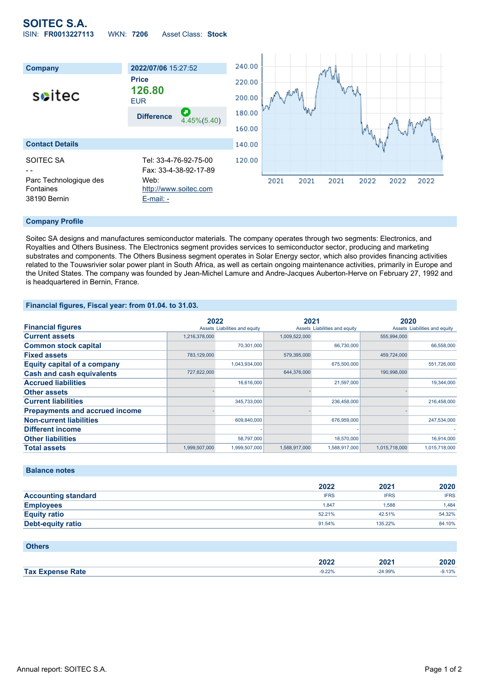# **SOITEC S.A.** ISIN: **FR0013227113** WKN: **7206** Asset Class: **Stock**



#### **Company Profile**

Soitec SA designs and manufactures semiconductor materials. The company operates through two segments: Electronics, and Royalties and Others Business. The Electronics segment provides services to semiconductor sector, producing and marketing substrates and components. The Others Business segment operates in Solar Energy sector, which also provides financing activities related to the Touwsrivier solar power plant in South Africa, as well as certain ongoing maintenance activities, primarily in Europe and the United States. The company was founded by Jean-Michel Lamure and Andre-Jacques Auberton-Herve on February 27, 1992 and is headquartered in Bernin, France.

### **Financial figures, Fiscal year: from 01.04. to 31.03.**

|                                       | 2022          |                               | 2021          |                               | 2020          |                               |
|---------------------------------------|---------------|-------------------------------|---------------|-------------------------------|---------------|-------------------------------|
| <b>Financial figures</b>              |               | Assets Liabilities and equity |               | Assets Liabilities and equity |               | Assets Liabilities and equity |
| <b>Current assets</b>                 | 1,216,378,000 |                               | 1,009,522,000 |                               | 555,994,000   |                               |
| <b>Common stock capital</b>           |               | 70.301.000                    |               | 66,730,000                    |               | 66,558,000                    |
| <b>Fixed assets</b>                   | 783,129,000   |                               | 579,395,000   |                               | 459,724,000   |                               |
| <b>Equity capital of a company</b>    |               | 1,043,934,000                 |               | 675,500,000                   |               | 551,726,000                   |
| <b>Cash and cash equivalents</b>      | 727,822,000   |                               | 644,376,000   |                               | 190,998,000   |                               |
| <b>Accrued liabilities</b>            |               | 16,616,000                    |               | 21,597,000                    |               | 19,344,000                    |
| <b>Other assets</b>                   |               |                               |               |                               |               |                               |
| <b>Current liabilities</b>            |               | 345,733,000                   |               | 236,458,000                   |               | 216,458,000                   |
| <b>Prepayments and accrued income</b> |               |                               |               |                               |               |                               |
| <b>Non-current liabilities</b>        |               | 609,840,000                   |               | 676,959,000                   |               | 247,534,000                   |
| <b>Different income</b>               |               |                               |               |                               |               |                               |
| <b>Other liabilities</b>              |               | 58,797,000                    |               | 18,570,000                    |               | 16,914,000                    |
| <b>Total assets</b>                   | 1,999,507,000 | 1,999,507,000                 | 1,588,917,000 | 1,588,917,000                 | 1,015,718,000 | 1,015,718,000                 |

### **Balance notes**

|                            | 2022        | 2021        | 2020        |
|----------------------------|-------------|-------------|-------------|
| <b>Accounting standard</b> | <b>IFRS</b> | <b>IFRS</b> | <b>IFRS</b> |
| <b>Employees</b>           | 1.847       | 1.588       | 1.484       |
| <b>Equity ratio</b>        | 52.21%      | 42.51%      | 54.32%      |
| <b>Debt-equity ratio</b>   | 91.54%      | 135.22%     | 84.10%      |

| <b>Others</b>           |       |           |          |
|-------------------------|-------|-----------|----------|
|                         | 2022  | 2021      | 2020     |
| <b>Tax Expense Rate</b> | 9.22% | $-24.99%$ | $-9.13%$ |